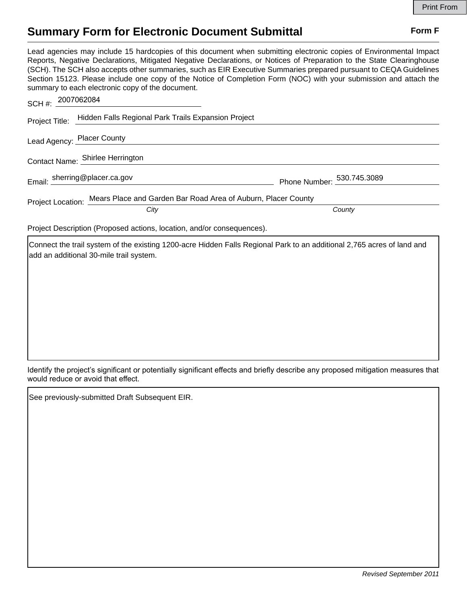## **Summary Form for Electronic Document Submittal Form F Form F**

Lead agencies may include 15 hardcopies of this document when submitting electronic copies of Environmental Impact Reports, Negative Declarations, Mitigated Negative Declarations, or Notices of Preparation to the State Clearinghouse (SCH). The SCH also accepts other summaries, such as EIR Executive Summaries prepared pursuant to CEQA Guidelines Section 15123. Please include one copy of the Notice of Completion Form (NOC) with your submission and attach the summary to each electronic copy of the document.

| SCH #: 2007062084                |                                                                                 |
|----------------------------------|---------------------------------------------------------------------------------|
| Project Title:                   | Hidden Falls Regional Park Trails Expansion Project                             |
| Lead Agency: Placer County       |                                                                                 |
| Contact Name: Shirlee Herrington |                                                                                 |
| Email: sherring@placer.ca.gov    | Phone Number: 530.745.3089                                                      |
|                                  | Project Location: Mears Place and Garden Bar Road Area of Auburn, Placer County |
| City                             | County                                                                          |

Project Description (Proposed actions, location, and/or consequences).

Connect the trail system of the existing 1200-acre Hidden Falls Regional Park to an additional 2,765 acres of land and add an additional 30-mile trail system.

Identify the project's significant or potentially significant effects and briefly describe any proposed mitigation measures that would reduce or avoid that effect.

See previously-submitted Draft Subsequent EIR.